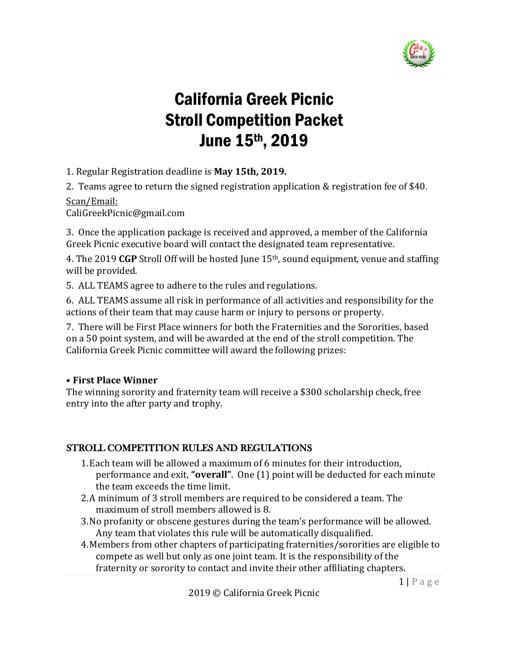

# California Greek Picnic Stroll Competition Packet June 15th, 2019

1. Regular Registration deadline is May 15th, 2019.

2. Teams agree to return the signed registration application & registration fee of \$40.

Scan/Email:

CaliGreekPicnic@gmail.com

3. Once the application package is received and approved, a member of the California Greek Picnic executive board will contact the designated team representative.

4. The 2019 CGP Stroll Off will be hosted June 15<sup>th</sup>, sound equipment, venue and staffing will be provided.

5. ALL TEAMS agree to adhere to the rules and regulations.

6. ALL TEAMS assume all risk in performance of all activities and responsibility for the actions of their team that may cause harm or injury to persons or property.

7. There will be First Place winners for both the Fraternities and the Sororities, based on a 50 point system, and will be awarded at the end of the stroll competition. The California Greek Picnic committee will award the following prizes:

### • **First Place Winner**

The winning sorority and fraternity team will receive a \$300 scholarship check, free entry into the after party and trophy.

### STROLL COMPETITION RULES AND REGULATIONS

- 1. Each team will be allowed a maximum of 6 minutes for their introduction, performance and exit, "**overall**". One (1) point will be deducted for each minute the team exceeds the time limit.
- 2. A minimum of 3 stroll members are required to be considered a team. The maximum of stroll members allowed is 8.
- 3. No profanity or obscene gestures during the team's performance will be allowed. Any team that violates this rule will be automatically disqualified.
- 4. Members from other chapters of participating fraternities/sororities are eligible to compete as well but only as one joint team. It is the responsibility of the fraternity or sorority to contact and invite their other affiliating chapters.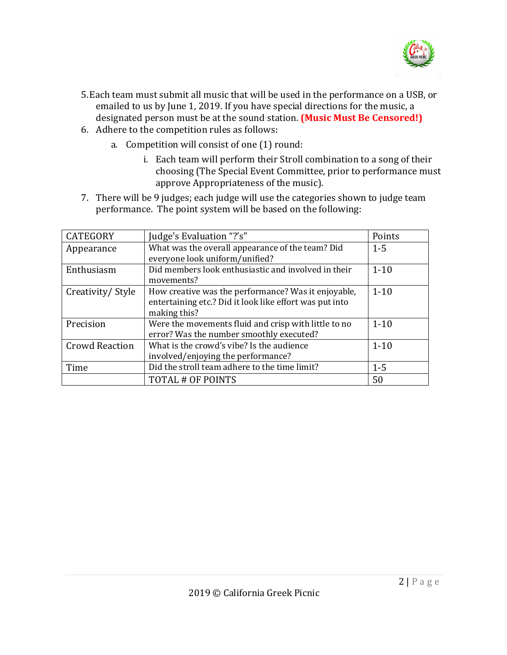

- 5. Each team must submit all music that will be used in the performance on a USB, or emailed to us by June 1, 2019. If you have special directions for the music, a designated person must be at the sound station. **(Music Must Be Censored!)**
- 6. Adhere to the competition rules as follows:
	- a. Competition will consist of one (1) round:
		- i. Each team will perform their Stroll combination to a song of their choosing (The Special Event Committee, prior to performance must approve Appropriateness of the music).
- 7. There will be 9 judges; each judge will use the categories shown to judge team performance. The point system will be based on the following:

| <b>CATEGORY</b>       | Judge's Evaluation "?'s"                                | Points   |
|-----------------------|---------------------------------------------------------|----------|
| Appearance            | What was the overall appearance of the team? Did        | $1 - 5$  |
|                       | everyone look uniform/unified?                          |          |
| Enthusiasm            | Did members look enthusiastic and involved in their     | $1 - 10$ |
|                       | movements?                                              |          |
| Creativity/Style      | How creative was the performance? Was it enjoyable,     | $1 - 10$ |
|                       | entertaining etc.? Did it look like effort was put into |          |
|                       | making this?                                            |          |
| Precision             | Were the movements fluid and crisp with little to no    | $1 - 10$ |
|                       | error? Was the number smoothly executed?                |          |
| <b>Crowd Reaction</b> | What is the crowd's vibe? Is the audience               | $1 - 10$ |
|                       | involved/enjoying the performance?                      |          |
| Time                  | Did the stroll team adhere to the time limit?           | $1 - 5$  |
|                       | TOTAL # OF POINTS                                       | 50       |